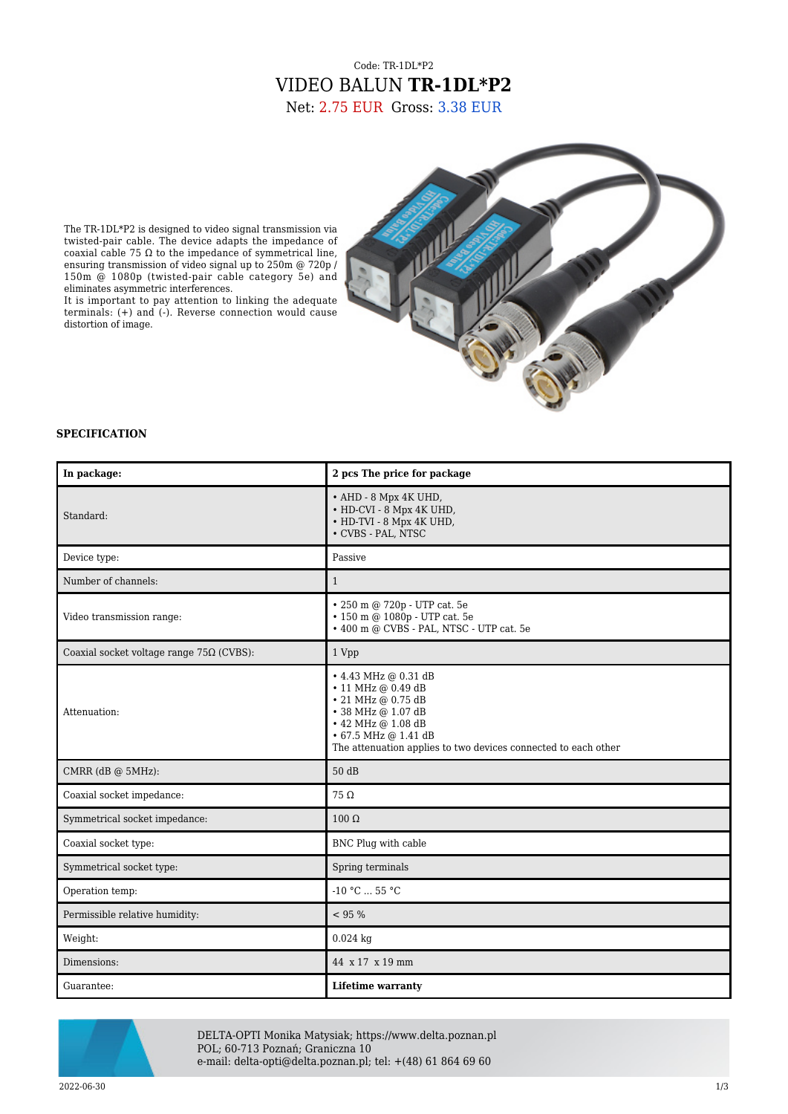# Code: TR-1DL\*P2 VIDEO BALUN **TR-1DL\*P2** Net: 2.75 EUR Gross: 3.38 EUR

The TR-1DL\*P2 is designed to video signal transmission via twisted-pair cable. The device adapts the impedance of coaxial cable 75 Ω to the impedance of symmetrical line, ensuring transmission of video signal up to 250m @ 720p / 150m @ 1080p (twisted-pair cable category 5e) and eliminates asymmetric interferences.

It is important to pay attention to linking the adequate terminals: (+) and (-). Reverse connection would cause distortion of image.



### **SPECIFICATION**

| In package:                                     | 2 pcs The price for package                                                                                                                                                                                        |
|-------------------------------------------------|--------------------------------------------------------------------------------------------------------------------------------------------------------------------------------------------------------------------|
| Standard:                                       | • AHD - 8 Mpx 4K UHD,<br>• HD-CVI - 8 Mpx 4K UHD,<br>• HD-TVI - 8 Mpx 4K UHD,<br>• CVBS - PAL, NTSC                                                                                                                |
| Device type:                                    | Passive                                                                                                                                                                                                            |
| Number of channels:                             | $\mathbf{1}$                                                                                                                                                                                                       |
| Video transmission range:                       | • 250 m @ 720p - UTP cat. 5e<br>• 150 m @ 1080p - UTP cat. 5e<br>• 400 m @ CVBS - PAL, NTSC - UTP cat. 5e                                                                                                          |
| Coaxial socket voltage range $75\Omega$ (CVBS): | 1 Vpp                                                                                                                                                                                                              |
| Attenuation:                                    | • 4.43 MHz @ 0.31 dB<br>$\cdot$ 11 MHz @ 0.49 dB<br>• 21 MHz @ 0.75 dB<br>• 38 MHz @ 1.07 dB<br>$\cdot$ 42 MHz @ 1.08 dB<br>• 67.5 MHz @ 1.41 dB<br>The attenuation applies to two devices connected to each other |
| CMRR (dB @ 5MHz):                               | 50 dB                                                                                                                                                                                                              |
| Coaxial socket impedance:                       | $75\Omega$                                                                                                                                                                                                         |
| Symmetrical socket impedance:                   | $100 \Omega$                                                                                                                                                                                                       |
| Coaxial socket type:                            | BNC Plug with cable                                                                                                                                                                                                |
| Symmetrical socket type:                        | Spring terminals                                                                                                                                                                                                   |
| Operation temp:                                 | $-10 °C$ 55 °C                                                                                                                                                                                                     |
| Permissible relative humidity:                  | < 95 %                                                                                                                                                                                                             |
| Weight:                                         | $0.024$ kg                                                                                                                                                                                                         |
| Dimensions:                                     | 44 x 17 x 19 mm                                                                                                                                                                                                    |
| Guarantee:                                      | <b>Lifetime warranty</b>                                                                                                                                                                                           |



DELTA-OPTI Monika Matysiak; https://www.delta.poznan.pl POL; 60-713 Poznań; Graniczna 10 e-mail: delta-opti@delta.poznan.pl; tel: +(48) 61 864 69 60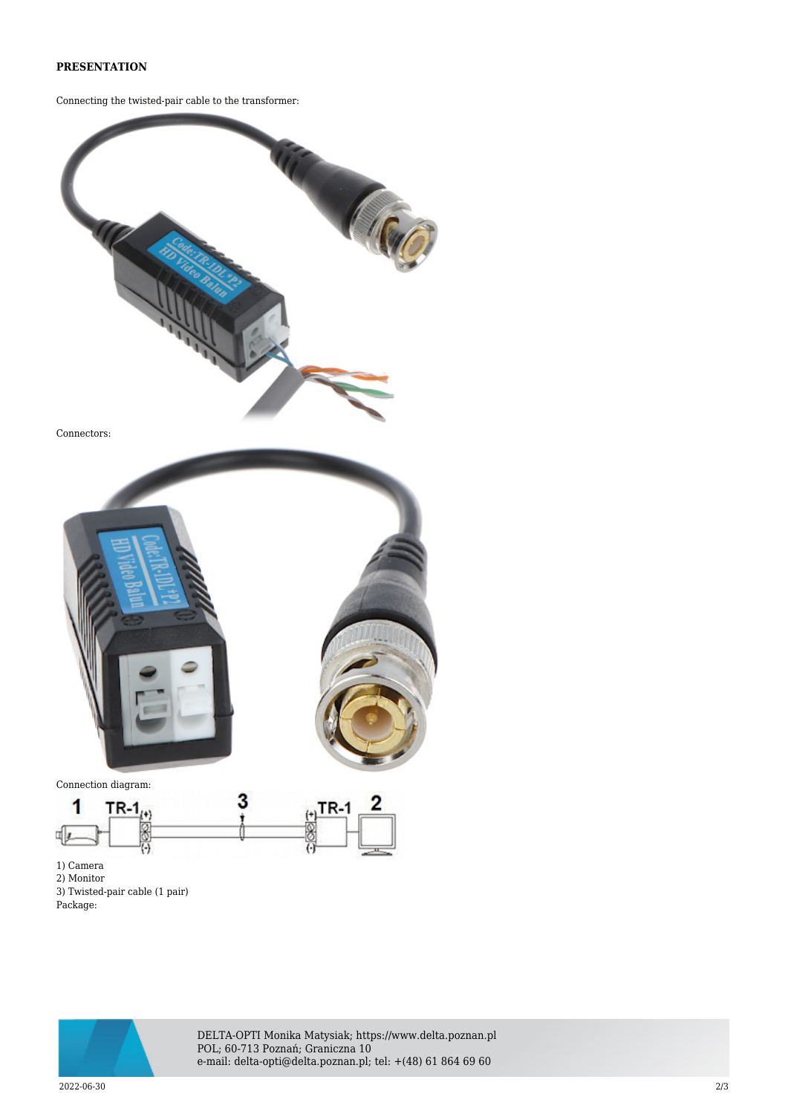## **PRESENTATION**

Connecting the twisted-pair cable to the transformer:



Connectors:



1) Camera

2) Monitor

3) Twisted-pair cable (1 pair)

Package:



DELTA-OPTI Monika Matysiak; https://www.delta.poznan.pl POL; 60-713 Poznań; Graniczna 10 e-mail: delta-opti@delta.poznan.pl; tel: +(48) 61 864 69 60

2022-06-30 2/3